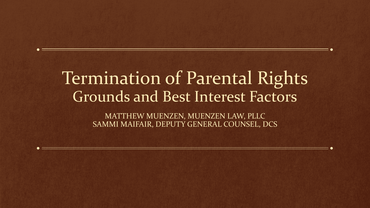## Termination of Parental Rights Grounds and Best Interest Factors

MATTHEW MUENZEN, MUENZEN LAW, PLLC SAMMI MAIFAIR, DEPUTY GENERAL COUNSEL, DCS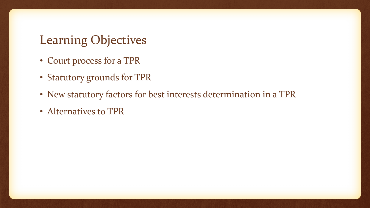### Learning Objectives

- Court process for a TPR
- Statutory grounds for TPR
- New statutory factors for best interests determination in a TPR
- Alternatives to TPR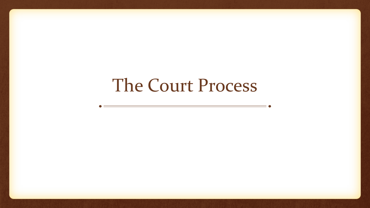# The Court Process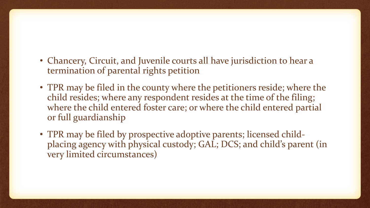- Chancery, Circuit, and Juvenile courts all have jurisdiction to hear a termination of parental rights petition
- TPR may be filed in the county where the petitioners reside; where the child resides; where any respondent resides at the time of the filing; where the child entered foster care; or where the child entered partial or full guardianship
- TPR may be filed by prospective adoptive parents; licensed childplacing agency with physical custody; GAL; DCS; and child's parent (in very limited circumstances)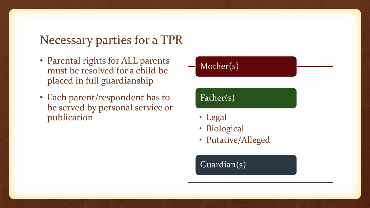### Necessary parties for a TPR

- Parental rights for ALL parents must be resolved for a child be placed in full guardianship
- Each parent/respondent has to be served by personal service or publication

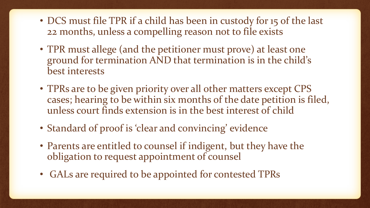- DCS must file TPR if a child has been in custody for 15 of the last 22 months, unless a compelling reason not to file exists
- TPR must allege (and the petitioner must prove) at least one ground for termination AND that termination is in the child's best interests
- TPRs are to be given priority over all other matters except CPS cases; hearing to be within six months of the date petition is filed, unless court finds extension is in the best interest of child
- Standard of proof is 'clear and convincing' evidence
- Parents are entitled to counsel if indigent, but they have the obligation to request appointment of counsel
- GALs are required to be appointed for contested TPRs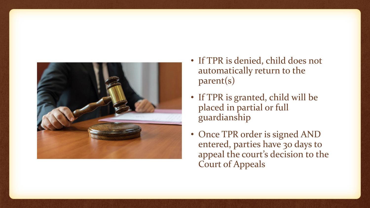

- If TPR is denied, child does not automatically return to the parent(s)
- If TPR is granted, child will be placed in partial or full guardianship
- Once TPR order is signed AND entered, parties have 30 days to appeal the court's decision to the Court of Appeals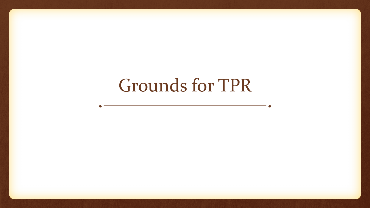# Grounds for TPR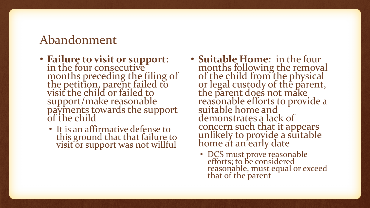### Abandonment

- **Failure to visit or support**: in the four consecutive months preceding the filing of the petition, parent failed to visit the child or failed to support/make reasonable payments towards the support of the child
	- It is an affirmative defense to this ground that that failure to visit or support was not willful
- **Suitable Home**: in the four months following the removal of the child from the physical or legal custody of the parent, the parent does not make reasonable efforts to provide a suitable home and demonstrates a lack of concern such that it appears unlikely to provide a suitable home at an early date
	- DCS must prove reasonable efforts; to be considered reasonable, must equal or exceed that of the parent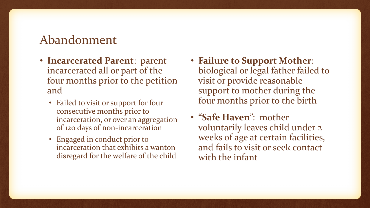#### Abandonment

- **Incarcerated Parent**: parent incarcerated all or part of the four months prior to the petition and
	- Failed to visit or support for four consecutive months prior to incarceration, or over an aggregation of 120 days of non-incarceration
	- Engaged in conduct prior to incarceration that exhibits a wanton disregard for the welfare of the child
- **Failure to Support Mother**: biological or legal father failed to visit or provide reasonable support to mother during the four months prior to the birth
- **"Safe Haven**": mother voluntarily leaves child under 2 weeks of age at certain facilities, and fails to visit or seek contact with the infant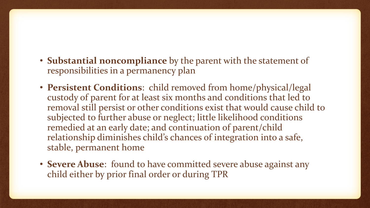- **Substantial noncompliance** by the parent with the statement of responsibilities in a permanency plan
- **Persistent Conditions**: child removed from home/physical/legal custody of parent for at least six months and conditions that led to removal still persist or other conditions exist that would cause child to subjected to further abuse or neglect; little likelihood conditions remedied at an early date; and continuation of parent/child relationship diminishes child's chances of integration into a safe, stable, permanent home
- **Severe Abuse**: found to have committed severe abuse against any child either by prior final order or during TPR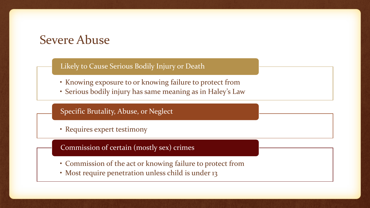#### Severe Abuse

#### Likely to Cause Serious Bodily Injury or Death

- Knowing exposure to or knowing failure to protect from
- Serious bodily injury has same meaning as in Haley's Law

Specific Brutality, Abuse, or Neglect

• Requires expert testimony

Commission of certain (mostly sex) crimes

- Commission of the act or knowing failure to protect from
- Most require penetration unless child is under 13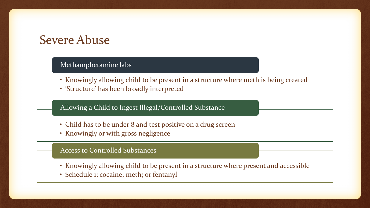#### Severe Abuse

#### Methamphetamine labs

- Knowingly allowing child to be present in a structure where meth is being created
- 'Structure' has been broadly interpreted

#### Allowing a Child to Ingest Illegal/Controlled Substance

- Child has to be under 8 and test positive on a drug screen
- Knowingly or with gross negligence

#### Access to Controlled Substances

- Knowingly allowing child to be present in a structure where present and accessible
- Schedule 1; cocaine; meth; or fentanyl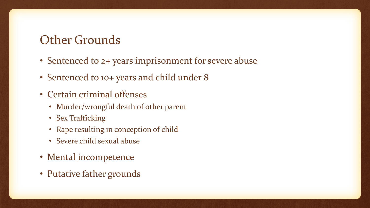### Other Grounds

- Sentenced to 2+ years imprisonment for severe abuse
- Sentenced to 10+ years and child under 8
- Certain criminal offenses
	- Murder/wrongful death of other parent
	- Sex Trafficking
	- Rape resulting in conception of child
	- Severe child sexual abuse
- Mental incompetence
- Putative father grounds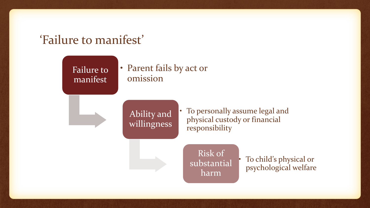#### 'Failure to manifest'

Failure to manifest

• Parent fails by act or omission

Ability and willingness • To personally assume legal and physical custody or financial responsibility

Risk of substantial harm

• To child's physical or psychological welfare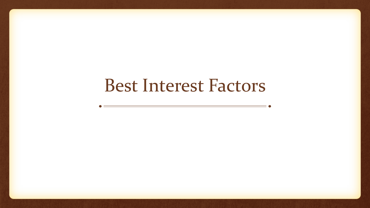## Best Interest Factors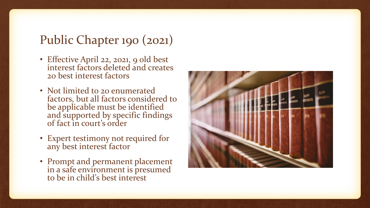### Public Chapter 190 (2021)

- Effective April 22, 2021, 9 old best interest factors deleted and creates 20 best interest factors
- Not limited to 20 enumerated factors, but all factors considered to be applicable must be identified and supported by specific findings of fact in court's order
- Expert testimony not required for any best interest factor
- Prompt and permanent placement in a safe environment is presumed to be in child's best interest

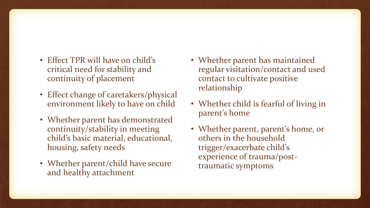- Effect TPR will have on child's critical need for stability and continuity of placement
- Effect change of caretakers/physical environment likely to have on child
- Whether parent has demonstrated continuity/stability in meeting child's basic material, educational, housing, safety needs
- Whether parent/child have secure and healthy attachment
- Whether parent has maintained regular visitation/contact and used contact to cultivate positive relationship
- Whether child is fearful of living in parent's home
- Whether parent, parent's home, or others in the household trigger/exacerbate child's experience of trauma/posttraumatic symptoms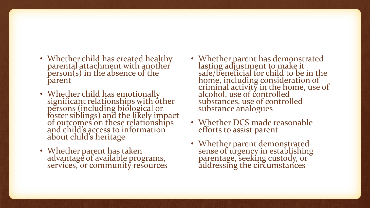- Whether child has created healthy parental attachment with another person(s) in the absence of the parent
- Whether child has emotionally significant relationships with other persons (including biological or foster siblings) and the likely impact of outcomes on these relationships and child's access to information about child's heritage
- Whether parent has taken advantage of available programs, services, or community resources
- Whether parent has demonstrated lasting adjustment to make it safe/beneficial for child to be in the home, including consideration of criminal activity in the home, use of alcohol, use of controlled substances, use of controlled substance analogues
- Whether DCS made reasonable efforts to assist parent
- Whether parent demonstrated sense of urgency in establishing parentage, seeking custody, or addressing the circumstances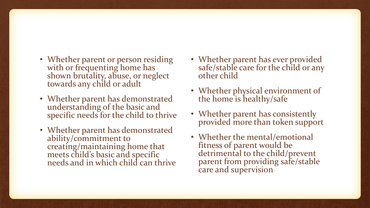- Whether parent or person residing with or frequenting home has shown brutality, abuse, or neglect towards any child or adult
- Whether parent has demonstrated understanding of the basic and specific needs for the child to thrive
- Whether parent has demonstrated ability/commitment to creating/maintaining home that meets child's basic and specific needs and in which child can thrive
- Whether parent has ever provided safe/stable care for the child or any other child
- Whether physical environment of the home is healthy/safe
- Whether parent has consistently provided more than token support
- Whether the mental/emotional fitness of parent would be detrimental to the child/prevent parent from providing safe/stable care and supervision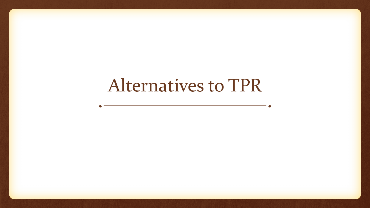# Alternatives to TPR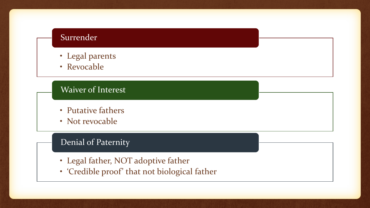#### **Surrender**

- Legal parents
- Revocable

#### Waiver of Interest

- Putative fathers
- Not revocable

#### Denial of Paternity

- Legal father, NOT adoptive father
- 'Credible proof' that not biological father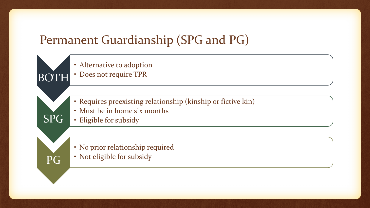## Permanent Guardianship (SPG and PG)

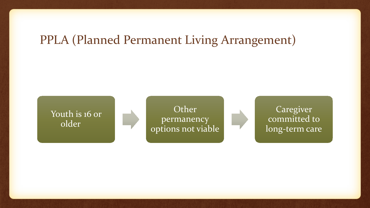### PPLA (Planned Permanent Living Arrangement)





Caregiver committed to long-term care